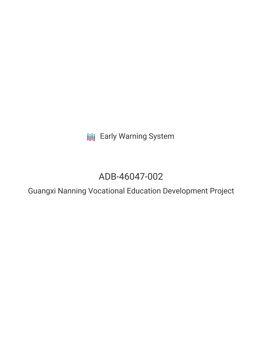**III** Early Warning System

# ADB-46047-002

Guangxi Nanning Vocational Education Development Project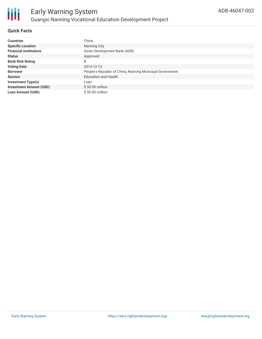# **Quick Facts**

| <b>Countries</b>               | China                                                    |
|--------------------------------|----------------------------------------------------------|
| <b>Specific Location</b>       | Nanning City                                             |
| <b>Financial Institutions</b>  | Asian Development Bank (ADB)                             |
| <b>Status</b>                  | Approved                                                 |
| <b>Bank Risk Rating</b>        | B                                                        |
| <b>Voting Date</b>             | 2013-12-13                                               |
| <b>Borrower</b>                | People's Republic of China, Nanning Municipal Government |
| <b>Sectors</b>                 | <b>Education and Health</b>                              |
| <b>Investment Type(s)</b>      | Loan                                                     |
| <b>Investment Amount (USD)</b> | $$50.00$ million                                         |
| <b>Loan Amount (USD)</b>       | $$50.00$ million                                         |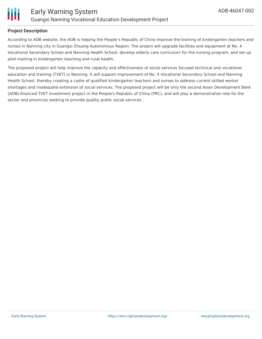

### **Project Description**

According to ADB website, the ADB is helping the People's Republic of China improve the training of kindergarten teachers and nurses in Nanning city in Guangxi Zhuang Autonomous Region. The project will upgrade facilities and equipment at No. 4 Vocational Secondary School and Nanning Health School, develop elderly care curriculum for the nursing program, and set up pilot training in kindergarten teaching and rural health.

The proposed project will help improve the capacity and effectiveness of social services focused technical and vocational education and training (TVET) in Nanning. It will support improvement of No. 4 Vocational Secondary School and Nanning Health School, thereby creating a cadre of qualified kindergarten teachers and nurses to address current skilled worker shortages and inadequate extension of social services. The proposed project will be only the second Asian Development Bank (ADB)-financed TVET investment project in the People's Republic of China (PRC), and will play a demonstration role for the sector and provinces seeking to provide quality public social services.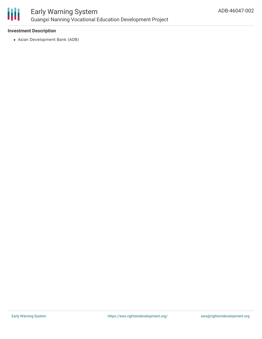

### **Investment Description**

Asian Development Bank (ADB)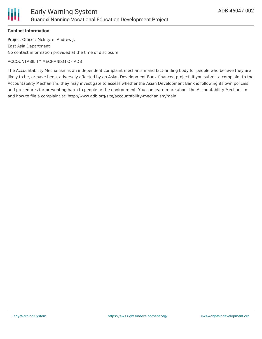

# **Contact Information**

Project Officer: McIntyre, Andrew J. East Asia Department No contact information provided at the time of disclosure

#### ACCOUNTABILITY MECHANISM OF ADB

The Accountability Mechanism is an independent complaint mechanism and fact-finding body for people who believe they are likely to be, or have been, adversely affected by an Asian Development Bank-financed project. If you submit a complaint to the Accountability Mechanism, they may investigate to assess whether the Asian Development Bank is following its own policies and procedures for preventing harm to people or the environment. You can learn more about the Accountability Mechanism and how to file a complaint at: http://www.adb.org/site/accountability-mechanism/main